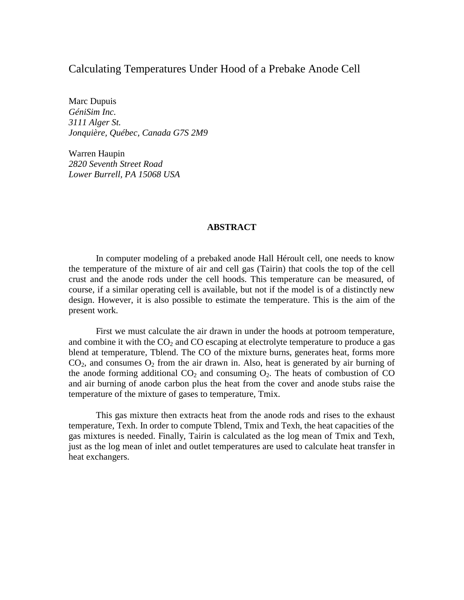# Calculating Temperatures Under Hood of a Prebake Anode Cell

Marc Dupuis *GéniSim Inc. 3111 Alger St. Jonquière, Québec, Canada G7S 2M9* 

Warren Haupin *2820 Seventh Street Road Lower Burrell, PA 15068 USA* 

## **ABSTRACT**

In computer modeling of a prebaked anode Hall Héroult cell, one needs to know the temperature of the mixture of air and cell gas (Tairin) that cools the top of the cell crust and the anode rods under the cell hoods. This temperature can be measured, of course, if a similar operating cell is available, but not if the model is of a distinctly new design. However, it is also possible to estimate the temperature. This is the aim of the present work.

First we must calculate the air drawn in under the hoods at potroom temperature, and combine it with the  $CO<sub>2</sub>$  and  $CO$  escaping at electrolyte temperature to produce a gas blend at temperature, Tblend. The CO of the mixture burns, generates heat, forms more  $CO<sub>2</sub>$ , and consumes  $O<sub>2</sub>$  from the air drawn in. Also, heat is generated by air burning of the anode forming additional  $CO<sub>2</sub>$  and consuming  $O<sub>2</sub>$ . The heats of combustion of CO and air burning of anode carbon plus the heat from the cover and anode stubs raise the temperature of the mixture of gases to temperature, Tmix.

This gas mixture then extracts heat from the anode rods and rises to the exhaust temperature, Texh. In order to compute Tblend, Tmix and Texh, the heat capacities of the gas mixtures is needed. Finally, Tairin is calculated as the log mean of Tmix and Texh, just as the log mean of inlet and outlet temperatures are used to calculate heat transfer in heat exchangers.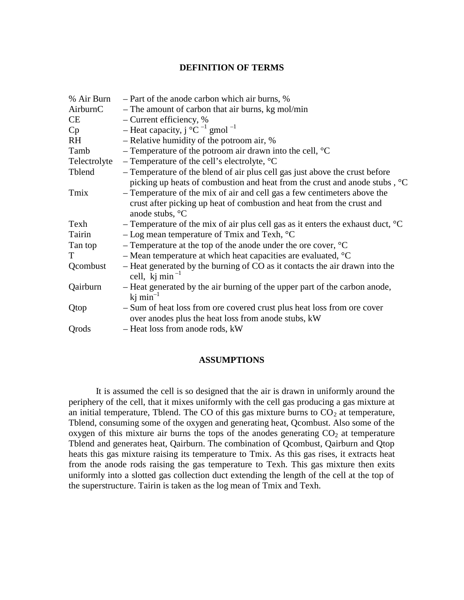## **DEFINITION OF TERMS**

| % Air Burn   | - Part of the anode carbon which air burns, %                                                                                  |
|--------------|--------------------------------------------------------------------------------------------------------------------------------|
| AirburnC     | - The amount of carbon that air burns, kg mol/min                                                                              |
| CE           | - Current efficiency, %                                                                                                        |
| Cp           | - Heat capacity, $j^{\circ}C^{-1}$ gmol <sup>-1</sup>                                                                          |
| <b>RH</b>    | - Relative humidity of the potroom air, %                                                                                      |
| Tamb         | - Temperature of the potroom air drawn into the cell, $^{\circ}C$                                                              |
| Telectrolyte | - Temperature of the cell's electrolyte, $^{\circ}C$                                                                           |
| Tblend       | - Temperature of the blend of air plus cell gas just above the crust before                                                    |
|              | picking up heats of combustion and heat from the crust and anode stubs, <sup>o</sup> C                                         |
| Tmix         | - Temperature of the mix of air and cell gas a few centimeters above the                                                       |
|              | crust after picking up heat of combustion and heat from the crust and                                                          |
|              | anode stubs, °C                                                                                                                |
| Texh         | - Temperature of the mix of air plus cell gas as it enters the exhaust duct, $\mathrm{C}$                                      |
| Tairin       | $-$ Log mean temperature of Tmix and Texh, $^{\circ}$ C                                                                        |
| Tan top      | - Temperature at the top of the anode under the ore cover, $\mathrm{C}$                                                        |
| T            | - Mean temperature at which heat capacities are evaluated, $\mathrm{C}$                                                        |
| Qcombust     | - Heat generated by the burning of CO as it contacts the air drawn into the<br>cell, kj min <sup><math>-1</math></sup>         |
| Qairburn     | - Heat generated by the air burning of the upper part of the carbon anode,<br>$ki$ min <sup>-1</sup>                           |
| Qtop         | - Sum of heat loss from ore covered crust plus heat loss from ore cover<br>over anodes plus the heat loss from anode stubs, kW |
| Qrods        | - Heat loss from anode rods, kW                                                                                                |

## **ASSUMPTIONS**

It is assumed the cell is so designed that the air is drawn in uniformly around the periphery of the cell, that it mixes uniformly with the cell gas producing a gas mixture at an initial temperature, Tblend. The CO of this gas mixture burns to  $CO<sub>2</sub>$  at temperature, Tblend, consuming some of the oxygen and generating heat, Qcombust. Also some of the oxygen of this mixture air burns the tops of the anodes generating  $CO<sub>2</sub>$  at temperature Tblend and generates heat, Qairburn. The combination of Qcombust, Qairburn and Qtop heats this gas mixture raising its temperature to Tmix. As this gas rises, it extracts heat from the anode rods raising the gas temperature to Texh. This gas mixture then exits uniformly into a slotted gas collection duct extending the length of the cell at the top of the superstructure. Tairin is taken as the log mean of Tmix and Texh.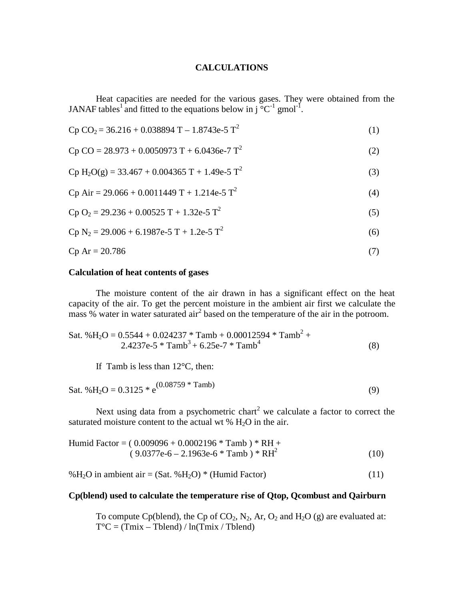## **CALCULATIONS**

Heat capacities are needed for the various gases. They were obtained from the JANAF tables<sup>1</sup> and fitted to the equations below in  $i^{\circ}C^{-1}$  gmol<sup>-1</sup>.

$$
Cp CO2 = 36.216 + 0.038894 T - 1.8743e-5 T2
$$
 (1)

$$
Cp CO = 28.973 + 0.0050973 T + 6.0436e-7 T2
$$
 (2)

$$
Cp H2O(g) = 33.467 + 0.004365 T + 1.49e-5 T2
$$
 (3)

$$
Cp Air = 29.066 + 0.0011449 T + 1.214e-5 T2
$$
 (4)

$$
Cp O2 = 29.236 + 0.00525 T + 1.32e-5 T2
$$
 (5)

$$
Cp N_2 = 29.006 + 6.1987e-5 T + 1.2e-5 T^2
$$
 (6)

$$
Cp Ar = 20.786 \tag{7}
$$

## **Calculation of heat contents of gases**

The moisture content of the air drawn in has a significant effect on the heat capacity of the air. To get the percent moisture in the ambient air first we calculate the mass  $%$  water in water saturated air<sup>2</sup> based on the temperature of the air in the potroom.

Sat. %H2O = 0.5544 + 0.024237 \* Tamb + 0.00012594 \* Tamb<sup>2</sup> + 2.4237e-5 \* Tamb3 + 6.25e-7 \* Tamb4 (8)

If Tamb is less than  $12^{\circ}$ C, then:

$$
Sat. \% H2O = 0.3125 * e(0.08759 * Tamb)
$$
 (9)

Next using data from a psychometric chart<sup>2</sup> we calculate a factor to correct the saturated moisture content to the actual wt  $% H<sub>2</sub>O$  in the air.

Humid Factor = 
$$
(0.009096 + 0.0002196 * Tamb) * RH +
$$
  
 $(9.0377e-6 - 2.1963e-6 * Tamb) * RH2$  (10)

% $H_2O$  in ambient air = (Sat. % $H_2O$ ) \* (Humid Factor) (11)

#### **Cp(blend) used to calculate the temperature rise of Qtop, Qcombust and Qairburn**

To compute Cp(blend), the Cp of CO<sub>2</sub>, N<sub>2</sub>, Ar, O<sub>2</sub> and H<sub>2</sub>O (g) are evaluated at:  $T^{\circ}C = (Tmix - Tblend) / ln(Tmix / Tblend)$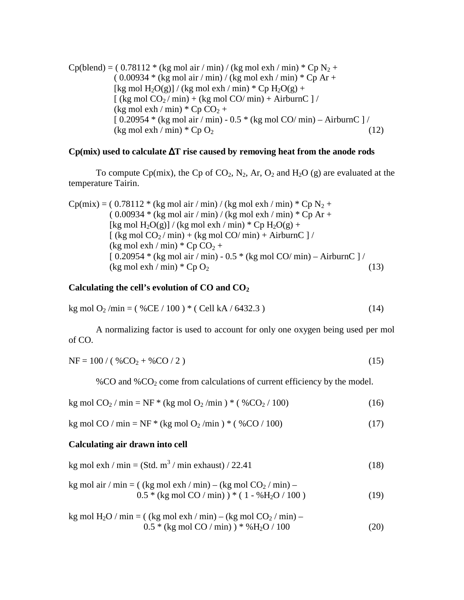$Cp(blend) = (0.78112 * (kg mol air / min) / (kg mol exh / min) * Cp N<sub>2</sub> +$  $(0.00934 * (kg mol air / min) / (kg mol exh / min) * Cp Ar +$ [kg mol H<sub>2</sub>O(g)] / (kg mol exh / min) \* Cp H<sub>2</sub>O(g) +  $\left[$  (kg mol CO<sub>2</sub>/min) + (kg mol CO/min) + AirburnC  $\left]$  / (kg mol exh / min)  $^*$  Cp CO<sub>2</sub> + [ 0.20954 \* (kg mol air / min) - 0.5 \* (kg mol CO/ min) – AirburnC ] /  $(\text{kg mol exh}/\text{min}) * \text{Cp O}_2$  (12)

## **Cp(mix) used to calculate** ∆**T rise caused by removing heat from the anode rods**

To compute Cp(mix), the Cp of CO<sub>2</sub>, N<sub>2</sub>, Ar, O<sub>2</sub> and H<sub>2</sub>O (g) are evaluated at the temperature Tairin.

\n
$$
\text{Cp}(\text{mix}) = (0.78112 \cdot (\text{kg mol air / min}) / (\text{kg mol} \cdot \text{exh / min}) \cdot (\text{Cp N}_2 + (0.00934 \cdot (\text{kg mol air / min}) / (\text{kg mol} \cdot \text{exh / min}) \cdot (\text{Cp N}_2 + (\text{kg mol H}_2\text{O(g)}) / (\text{kg mol} \cdot \text{exh / min}) \cdot (\text{Cp H}_2\text{O(g)} + (\text{kg mol CO}_2 / \text{min}) + (\text{kg mol CO} / \text{min}) + \text{AirburnC} ] / (\text{kg mol} \cdot \text{exh / min}) \cdot \text{Cp CO}_2 + (\text{0.20954} \cdot (\text{kg mol air / min}) - 0.5 \cdot (\text{kg mol CO} / \text{min}) - \text{AirburnC} ] / (\text{kg mol} \cdot \text{exh / min}) \cdot \text{Cp O}_2\n \tag{13}\n
$$

## **Calculating the cell's evolution of CO and CO2**

$$
kg mol O2/min = ( %CE / 100 ) * ( Cell kA / 6432.3 )
$$
 (14)

A normalizing factor is used to account for only one oxygen being used per mol of CO.

$$
NF = 100 / ( %CO2 + %CO / 2)
$$
 (15)

%CO and %CO2 come from calculations of current efficiency by the model.

$$
kg mol CO2/min = NF * (kg mol O2/min) * ( %CO2/100)
$$
 (16)

$$
kg mol CO / min = NF * (kg mol O2 / min) * ( %CO / 100)
$$
 (17)

### **Calculating air drawn into cell**

$$
kg mol exh / min = (Std. m3 / min exhaust) / 22.41
$$
 (18)

kg mol air / min = ( (kg mol exh / min) – (kg mol CO2 / min) – 0.5 \* (kg mol CO / min) ) \* ( 1 - %H2O / 100 ) (19)

kg mol H2O / min = ( (kg mol exh / min) – (kg mol CO2 / min) – 0.5 \* (kg mol CO / min) ) \* %H2O / 100 (20)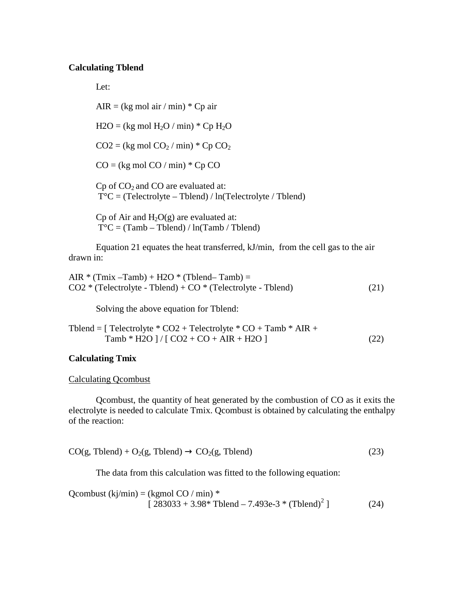#### **Calculating Tblend**

Let:

AIR =  $(kg \text{ mol air} / \text{min}) * Cp \text{ air}$  $H2O = (kg \text{ mol } H_2O / \text{ min}) * Cp H_2O$  $CO2 = (kg \text{ mol } CO<sub>2</sub> / \text{ min}) * Cp CO<sub>2</sub>$  $CO = (kg \text{ mol } CO / \text{ min}) * Cp CO$  $Cp$  of  $CO<sub>2</sub>$  and  $CO$  are evaluated at:  $T^{\circ}C$  = (Telectrolyte – Tblend) / ln(Telectrolyte / Tblend) Cp of Air and  $H_2O(g)$  are evaluated at:

 $T^{\circ}C = (Tamb - Tblend) / ln(Tamb / Tblend)$ 

Equation 21 equates the heat transferred, kJ/min, from the cell gas to the air drawn in:

AIR  $*(Tmix -Tamb) + H2O * (Tblend - Tamb) =$  $CO2 * (Telectrolyte - Tblend) + CO * (Telectrolyte - Tblend)$  (21)

Solving the above equation for Tblend:

Tblend =  $[$  Telectrolyte  $*$  CO2 + Telectrolyte  $*$  CO + Tamb  $*$  AIR +  $Tamb * H2O$   $| / [CO2 + CO + AIR + H2O]$  (22)

## **Calculating Tmix**

### Calculating Qcombust

Qcombust, the quantity of heat generated by the combustion of CO as it exits the electrolyte is needed to calculate Tmix. Qcombust is obtained by calculating the enthalpy of the reaction:

$$
CO(g, Tblend) + O2(g, Tblend) \rightarrow CO2(g, Tblend)
$$
\n(23)

The data from this calculation was fitted to the following equation:

Qcombust  $(kj/min) = (kgmol CO / min)$  \*  $[283033 + 3.98* \text{ Tblend} - 7.493e-3* (\text{Tblend})^2]$  $(24)$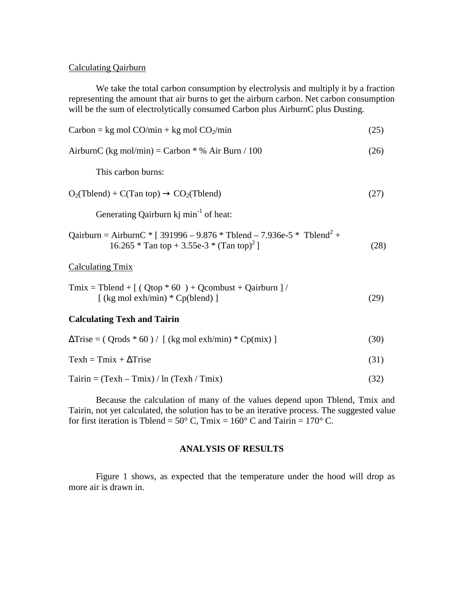## Calculating Qairburn

We take the total carbon consumption by electrolysis and multiply it by a fraction representing the amount that air burns to get the airburn carbon. Net carbon consumption will be the sum of electrolytically consumed Carbon plus AirburnC plus Dusting.

| $\text{Carbon} = \text{kg mol CO/min} + \text{kg mol CO}\gamma/\text{min}$                                                                  |  |
|---------------------------------------------------------------------------------------------------------------------------------------------|--|
| AirburnC (kg mol/min) = Carbon $*$ % Air Burn / 100                                                                                         |  |
| This carbon burns:                                                                                                                          |  |
| $O_2$ (Tblend) + C(Tan top) $\rightarrow$ CO <sub>2</sub> (Tblend)                                                                          |  |
| Generating Qairburn kj min <sup>-1</sup> of heat:                                                                                           |  |
| Qairburn = AirburnC * [ 391996 – 9.876 * Tblend – 7.936e-5 * Tblend <sup>2</sup> +<br>16.265 * Tan top + 3.55e-3 * (Tan top) <sup>2</sup> ] |  |
| Calculating Tmix                                                                                                                            |  |

$$
Tmix = Tblend + [ ( Qtop * 60 ) + Qcombust + Qairburn ] / [( kg mol exh/min) * Cp(blend) ]
$$
 (29)

#### **Calculating Texh and Tairin**

| $\Delta$ Trise = (Qrods * 60) / [ (kg mol exh/min) * Cp(mix) ] | (30) |
|----------------------------------------------------------------|------|
|                                                                |      |

$$
Texth = Tmix + \Delta Trise
$$
 (31)

 $Tairin = (Texh - Tmix) / ln (Texh / Tmix)$  (32)

Because the calculation of many of the values depend upon Tblend, Tmix and Tairin, not yet calculated, the solution has to be an iterative process. The suggested value for first iteration is Tblend =  $50^{\circ}$  C, Tmix =  $160^{\circ}$  C and Tairin =  $170^{\circ}$  C.

#### **ANALYSIS OF RESULTS**

Figure 1 shows, as expected that the temperature under the hood will drop as more air is drawn in.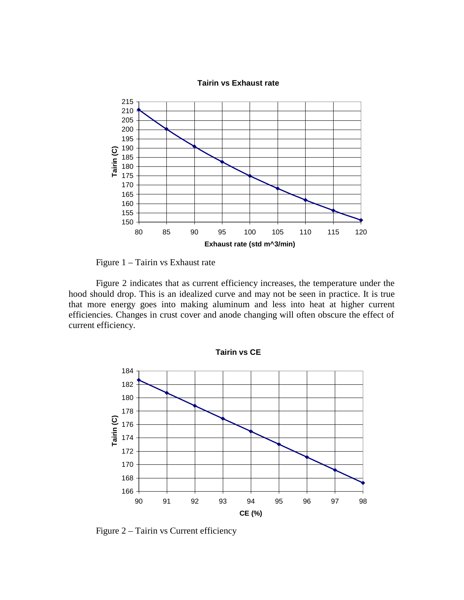

Figure 1 – Tairin vs Exhaust rate

Figure 2 indicates that as current efficiency increases, the temperature under the hood should drop. This is an idealized curve and may not be seen in practice. It is true that more energy goes into making aluminum and less into heat at higher current efficiencies. Changes in crust cover and anode changing will often obscure the effect of current efficiency.



Figure 2 – Tairin vs Current efficiency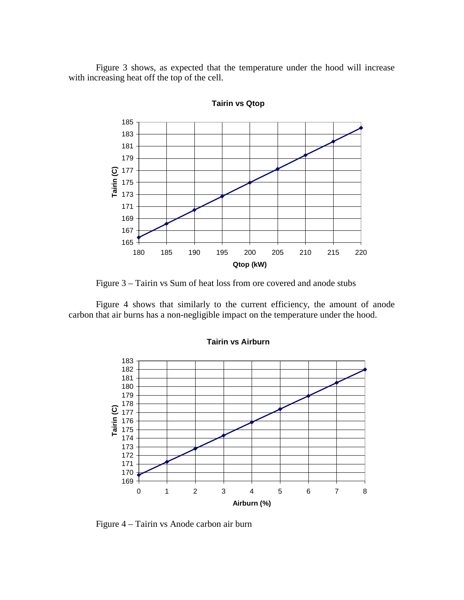Figure 3 shows, as expected that the temperature under the hood will increase with increasing heat off the top of the cell.



**Tairin vs Qtop**

Figure 3 – Tairin vs Sum of heat loss from ore covered and anode stubs

Figure 4 shows that similarly to the current efficiency, the amount of anode carbon that air burns has a non-negligible impact on the temperature under the hood.



#### **Tairin vs Airburn**

Figure 4 – Tairin vs Anode carbon air burn